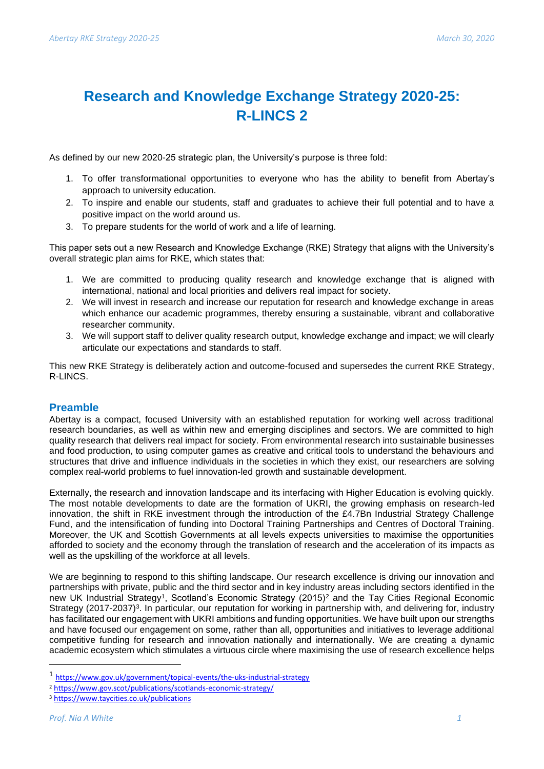# **Research and Knowledge Exchange Strategy 2020-25: R-LINCS 2**

As defined by our new 2020-25 strategic plan, the University's purpose is three fold:

- 1. To offer transformational opportunities to everyone who has the ability to benefit from Abertay's approach to university education.
- 2. To inspire and enable our students, staff and graduates to achieve their full potential and to have a positive impact on the world around us.
- 3. To prepare students for the world of work and a life of learning.

This paper sets out a new Research and Knowledge Exchange (RKE) Strategy that aligns with the University's overall strategic plan aims for RKE, which states that:

- 1. We are committed to producing quality research and knowledge exchange that is aligned with international, national and local priorities and delivers real impact for society.
- 2. We will invest in research and increase our reputation for research and knowledge exchange in areas which enhance our academic programmes, thereby ensuring a sustainable, vibrant and collaborative researcher community.
- 3. We will support staff to deliver quality research output, knowledge exchange and impact; we will clearly articulate our expectations and standards to staff.

This new RKE Strategy is deliberately action and outcome-focused and supersedes the current RKE Strategy, R-LINCS.

# **Preamble**

Abertay is a compact, focused University with an established reputation for working well across traditional research boundaries, as well as within new and emerging disciplines and sectors. We are committed to high quality research that delivers real impact for society. From environmental research into sustainable businesses and food production, to using computer games as creative and critical tools to understand the behaviours and structures that drive and influence individuals in the societies in which they exist, our researchers are solving complex real-world problems to fuel innovation-led growth and sustainable development.

Externally, the research and innovation landscape and its interfacing with Higher Education is evolving quickly. The most notable developments to date are the formation of UKRI, the growing emphasis on research-led innovation, the shift in RKE investment through the introduction of the £4.7Bn Industrial Strategy Challenge Fund, and the intensification of funding into Doctoral Training Partnerships and Centres of Doctoral Training. Moreover, the UK and Scottish Governments at all levels expects universities to maximise the opportunities afforded to society and the economy through the translation of research and the acceleration of its impacts as well as the upskilling of the workforce at all levels.

We are beginning to respond to this shifting landscape. Our research excellence is driving our innovation and partnerships with private, public and the third sector and in key industry areas including sectors identified in the new UK Industrial Strategy<sup>1</sup>, Scotland's Economic Strategy (2015)<sup>2</sup> and the Tay Cities Regional Economic Strategy (2017-2037)<sup>3</sup>. In particular, our reputation for working in partnership with, and delivering for, industry has facilitated our engagement with UKRI ambitions and funding opportunities. We have built upon our strengths and have focused our engagement on some, rather than all, opportunities and initiatives to leverage additional competitive funding for research and innovation nationally and internationally. We are creating a dynamic academic ecosystem which stimulates a virtuous circle where maximising the use of research excellence helps

<sup>1</sup> <https://www.gov.uk/government/topical-events/the-uks-industrial-strategy>

<sup>2</sup> <https://www.gov.scot/publications/scotlands-economic-strategy/>

<sup>3</sup> <https://www.taycities.co.uk/publications>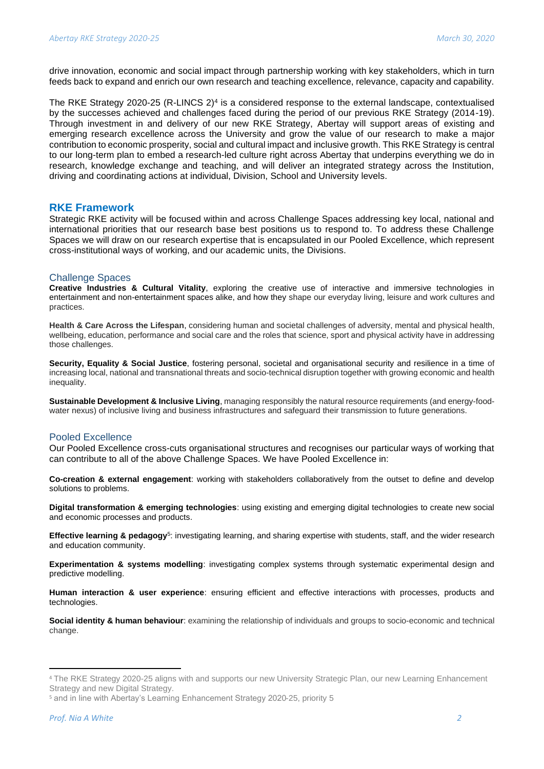drive innovation, economic and social impact through partnership working with key stakeholders, which in turn feeds back to expand and enrich our own research and teaching excellence, relevance, capacity and capability.

The RKE Strategy 2020-25 (R-LINCS  $2)^4$  is a considered response to the external landscape, contextualised by the successes achieved and challenges faced during the period of our previous RKE Strategy (2014-19). Through investment in and delivery of our new RKE Strategy, Abertay will support areas of existing and emerging research excellence across the University and grow the value of our research to make a major contribution to economic prosperity, social and cultural impact and inclusive growth. This RKE Strategy is central to our long-term plan to embed a research-led culture right across Abertay that underpins everything we do in research, knowledge exchange and teaching, and will deliver an integrated strategy across the Institution, driving and coordinating actions at individual, Division, School and University levels.

# **RKE Framework**

Strategic RKE activity will be focused within and across Challenge Spaces addressing key local, national and international priorities that our research base best positions us to respond to. To address these Challenge Spaces we will draw on our research expertise that is encapsulated in our Pooled Excellence, which represent cross-institutional ways of working, and our academic units, the Divisions.

#### Challenge Spaces

**Creative Industries & Cultural Vitality**, exploring the creative use of interactive and immersive technologies in entertainment and non-entertainment spaces alike, and how they shape our everyday living, leisure and work cultures and practices.

**Health & Care Across the Lifespan**, considering human and societal challenges of adversity, mental and physical health, wellbeing, education, performance and social care and the roles that science, sport and physical activity have in addressing those challenges.

**Security, Equality & Social Justice**, fostering personal, societal and organisational security and resilience in a time of increasing local, national and transnational threats and socio-technical disruption together with growing economic and health inequality.

**Sustainable Development & Inclusive Living**, managing responsibly the natural resource requirements (and energy-foodwater nexus) of inclusive living and business infrastructures and safeguard their transmission to future generations.

#### Pooled Excellence

Our Pooled Excellence cross-cuts organisational structures and recognises our particular ways of working that can contribute to all of the above Challenge Spaces. We have Pooled Excellence in:

**Co-creation & external engagement**: working with stakeholders collaboratively from the outset to define and develop solutions to problems.

**Digital transformation & emerging technologies**: using existing and emerging digital technologies to create new social and economic processes and products.

Effective learning & pedagogy<sup>5</sup>: investigating learning, and sharing expertise with students, staff, and the wider research and education community.

**Experimentation & systems modelling**: investigating complex systems through systematic experimental design and predictive modelling.

**Human interaction & user experience**: ensuring efficient and effective interactions with processes, products and technologies.

**Social identity & human behaviour**: examining the relationship of individuals and groups to socio-economic and technical change.

<sup>4</sup> The RKE Strategy 2020-25 aligns with and supports our new University Strategic Plan, our new Learning Enhancement Strategy and new Digital Strategy.

<sup>5</sup> and in line with Abertay's Learning Enhancement Strategy 2020-25, priority 5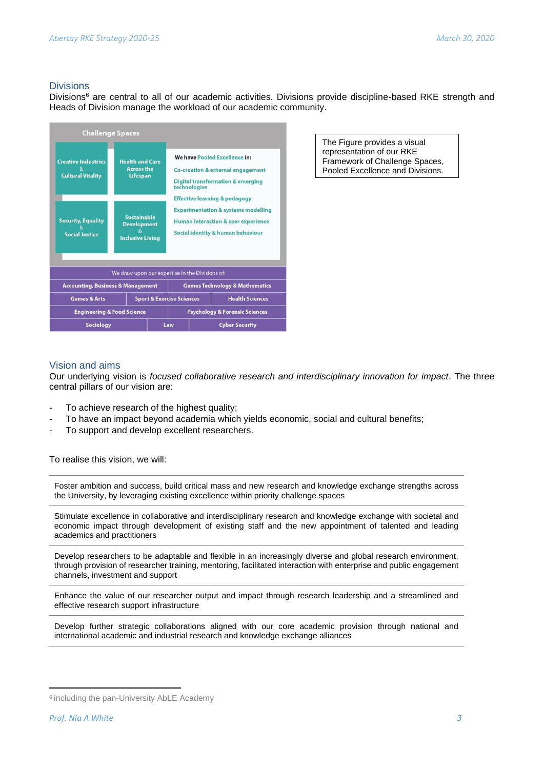# Divisions

Divisions<sup>6</sup> are central to all of our academic activities. Divisions provide discipline-based RKE strength and Heads of Division manage the workload of our academic community.

| <b>Challenge Spaces</b>                                      |                                                                     |                                      |                                                                                                                                                                                   |                       |                        |
|--------------------------------------------------------------|---------------------------------------------------------------------|--------------------------------------|-----------------------------------------------------------------------------------------------------------------------------------------------------------------------------------|-----------------------|------------------------|
| <b>Creative Industries</b><br>8,<br><b>Cultural Vitality</b> | <b>Health and Care</b><br><b>Across the</b><br><b>Lifespan</b>      |                                      | We have Pooled Excellence in:<br>Co-creation & external engagement<br><b>Digital transformation &amp; emerging</b><br>technologies                                                |                       |                        |
| <b>Security, Equality</b><br><b>Social Justice</b>           | <b>Sustainable</b><br><b>Development</b><br><b>Inclusive Living</b> |                                      | <b>Effective learning &amp; pedagogy</b><br><b>Experimentation &amp; systems modelling</b><br><b>Human interaction &amp; user experience</b><br>Social identity & human behaviour |                       |                        |
| We draw upon our expertise in the Divisions of:              |                                                                     |                                      |                                                                                                                                                                                   |                       |                        |
| <b>Accounting, Business &amp; Management</b>                 |                                                                     |                                      | <b>Games Technology &amp; Mathematics</b>                                                                                                                                         |                       |                        |
| <b>Games &amp; Arts</b>                                      |                                                                     | <b>Sport &amp; Exercise Sciences</b> |                                                                                                                                                                                   |                       | <b>Health Sciences</b> |
| <b>Engineering &amp; Food Science</b>                        |                                                                     |                                      | <b>Psychology &amp; Forensic Sciences</b>                                                                                                                                         |                       |                        |
| <b>Sociology</b>                                             | Law                                                                 |                                      |                                                                                                                                                                                   | <b>Cyber Security</b> |                        |

The Figure provides a visual representation of our RKE Framework of Challenge Spaces, Pooled Excellence and Divisions.

# Vision and aims

Our underlying vision is *focused collaborative research and interdisciplinary innovation for impact*. The three central pillars of our vision are:

- To achieve research of the highest quality;
- To have an impact beyond academia which yields economic, social and cultural benefits;
- To support and develop excellent researchers.

To realise this vision, we will:

Foster ambition and success, build critical mass and new research and knowledge exchange strengths across the University, by leveraging existing excellence within priority challenge spaces

Stimulate excellence in collaborative and interdisciplinary research and knowledge exchange with societal and economic impact through development of existing staff and the new appointment of talented and leading academics and practitioners

Develop researchers to be adaptable and flexible in an increasingly diverse and global research environment, through provision of researcher training, mentoring, facilitated interaction with enterprise and public engagement channels, investment and support

Enhance the value of our researcher output and impact through research leadership and a streamlined and effective research support infrastructure

Develop further strategic collaborations aligned with our core academic provision through national and international academic and industrial research and knowledge exchange alliances

<sup>6</sup> including the pan-University AbLE Academy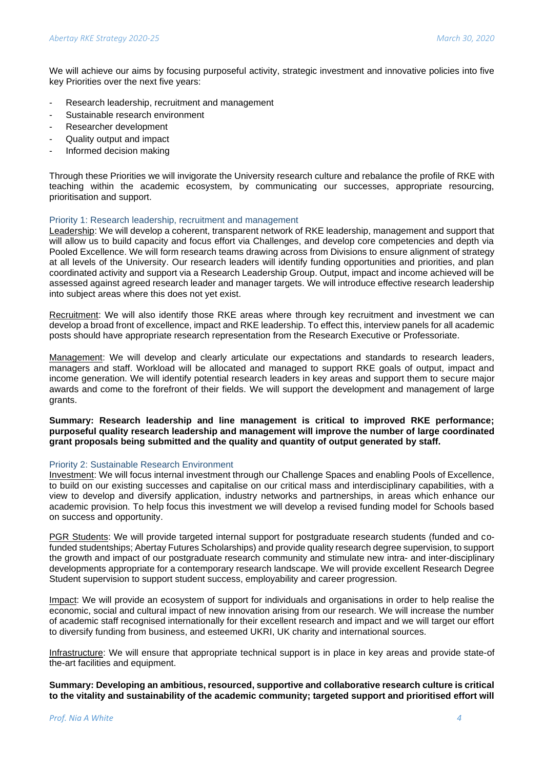We will achieve our aims by focusing purposeful activity, strategic investment and innovative policies into five key Priorities over the next five years:

- Research leadership, recruitment and management
- Sustainable research environment
- Researcher development
- Quality output and impact
- Informed decision making

Through these Priorities we will invigorate the University research culture and rebalance the profile of RKE with teaching within the academic ecosystem, by communicating our successes, appropriate resourcing, prioritisation and support.

#### Priority 1: Research leadership, recruitment and management

Leadership: We will develop a coherent, transparent network of RKE leadership, management and support that will allow us to build capacity and focus effort via Challenges, and develop core competencies and depth via Pooled Excellence. We will form research teams drawing across from Divisions to ensure alignment of strategy at all levels of the University. Our research leaders will identify funding opportunities and priorities, and plan coordinated activity and support via a Research Leadership Group. Output, impact and income achieved will be assessed against agreed research leader and manager targets. We will introduce effective research leadership into subject areas where this does not yet exist.

Recruitment: We will also identify those RKE areas where through key recruitment and investment we can develop a broad front of excellence, impact and RKE leadership. To effect this, interview panels for all academic posts should have appropriate research representation from the Research Executive or Professoriate.

Management: We will develop and clearly articulate our expectations and standards to research leaders, managers and staff. Workload will be allocated and managed to support RKE goals of output, impact and income generation. We will identify potential research leaders in key areas and support them to secure major awards and come to the forefront of their fields. We will support the development and management of large grants.

**Summary: Research leadership and line management is critical to improved RKE performance; purposeful quality research leadership and management will improve the number of large coordinated grant proposals being submitted and the quality and quantity of output generated by staff.** 

# Priority 2: Sustainable Research Environment

Investment: We will focus internal investment through our Challenge Spaces and enabling Pools of Excellence, to build on our existing successes and capitalise on our critical mass and interdisciplinary capabilities, with a view to develop and diversify application, industry networks and partnerships, in areas which enhance our academic provision. To help focus this investment we will develop a revised funding model for Schools based on success and opportunity.

PGR Students: We will provide targeted internal support for postgraduate research students (funded and cofunded studentships; Abertay Futures Scholarships) and provide quality research degree supervision, to support the growth and impact of our postgraduate research community and stimulate new intra- and inter-disciplinary developments appropriate for a contemporary research landscape. We will provide excellent Research Degree Student supervision to support student success, employability and career progression.

Impact: We will provide an ecosystem of support for individuals and organisations in order to help realise the economic, social and cultural impact of new innovation arising from our research. We will increase the number of academic staff recognised internationally for their excellent research and impact and we will target our effort to diversify funding from business, and esteemed UKRI, UK charity and international sources.

Infrastructure: We will ensure that appropriate technical support is in place in key areas and provide state-of the-art facilities and equipment.

**Summary: Developing an ambitious, resourced, supportive and collaborative research culture is critical to the vitality and sustainability of the academic community; targeted support and prioritised effort will**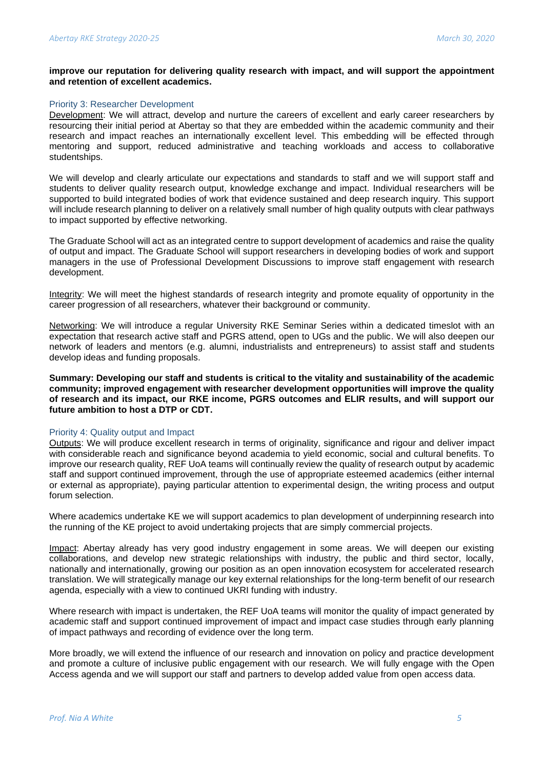#### **improve our reputation for delivering quality research with impact, and will support the appointment and retention of excellent academics.**

#### Priority 3: Researcher Development

Development: We will attract, develop and nurture the careers of excellent and early career researchers by resourcing their initial period at Abertay so that they are embedded within the academic community and their research and impact reaches an internationally excellent level. This embedding will be effected through mentoring and support, reduced administrative and teaching workloads and access to collaborative studentships.

We will develop and clearly articulate our expectations and standards to staff and we will support staff and students to deliver quality research output, knowledge exchange and impact. Individual researchers will be supported to build integrated bodies of work that evidence sustained and deep research inquiry. This support will include research planning to deliver on a relatively small number of high quality outputs with clear pathways to impact supported by effective networking.

The Graduate School will act as an integrated centre to support development of academics and raise the quality of output and impact. The Graduate School will support researchers in developing bodies of work and support managers in the use of Professional Development Discussions to improve staff engagement with research development.

Integrity: We will meet the highest standards of research integrity and promote equality of opportunity in the career progression of all researchers, whatever their background or community.

Networking: We will introduce a regular University RKE Seminar Series within a dedicated timeslot with an expectation that research active staff and PGRS attend, open to UGs and the public. We will also deepen our network of leaders and mentors (e.g. alumni, industrialists and entrepreneurs) to assist staff and students develop ideas and funding proposals.

**Summary: Developing our staff and students is critical to the vitality and sustainability of the academic community; improved engagement with researcher development opportunities will improve the quality of research and its impact, our RKE income, PGRS outcomes and ELIR results, and will support our future ambition to host a DTP or CDT.** 

#### Priority 4: Quality output and Impact

Outputs: We will produce excellent research in terms of originality, significance and rigour and deliver impact with considerable reach and significance beyond academia to yield economic, social and cultural benefits. To improve our research quality, REF UoA teams will continually review the quality of research output by academic staff and support continued improvement, through the use of appropriate esteemed academics (either internal or external as appropriate), paying particular attention to experimental design, the writing process and output forum selection.

Where academics undertake KE we will support academics to plan development of underpinning research into the running of the KE project to avoid undertaking projects that are simply commercial projects.

Impact: Abertay already has very good industry engagement in some areas. We will deepen our existing collaborations, and develop new strategic relationships with industry, the public and third sector, locally, nationally and internationally, growing our position as an open innovation ecosystem for accelerated research translation. We will strategically manage our key external relationships for the long-term benefit of our research agenda, especially with a view to continued UKRI funding with industry.

Where research with impact is undertaken, the REF UoA teams will monitor the quality of impact generated by academic staff and support continued improvement of impact and impact case studies through early planning of impact pathways and recording of evidence over the long term.

More broadly, we will extend the influence of our research and innovation on policy and practice development and promote a culture of inclusive public engagement with our research. We will fully engage with the Open Access agenda and we will support our staff and partners to develop added value from open access data.